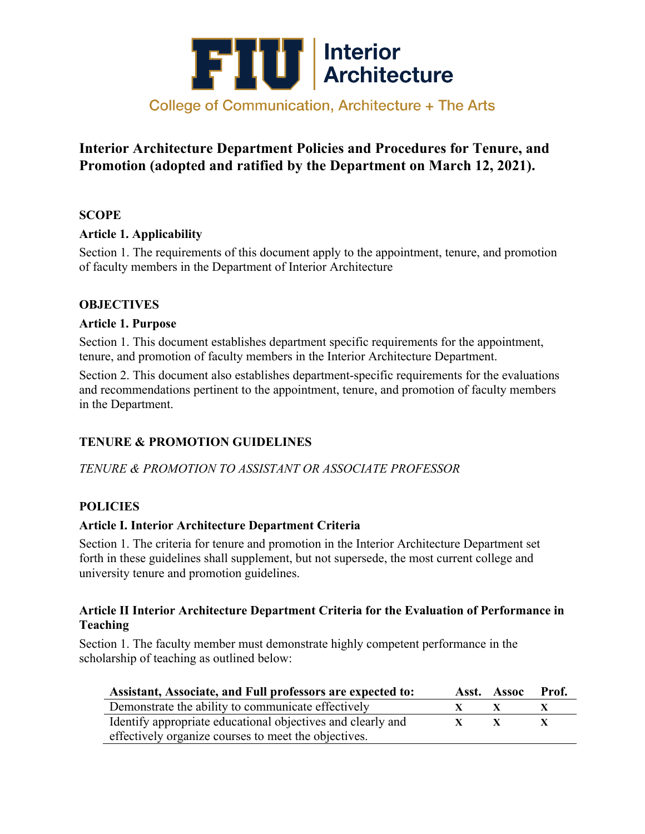

## **Interior Architecture Department Policies and Procedures for Tenure, and Promotion (adopted and ratified by the Department on March 12, 2021).**

#### **SCOPE**

### **Article 1. Applicability**

Section 1. The requirements of this document apply to the appointment, tenure, and promotion of faculty members in the Department of Interior Architecture

### **OBJECTIVES**

#### **Article 1. Purpose**

Section 1. This document establishes department specific requirements for the appointment, tenure, and promotion of faculty members in the Interior Architecture Department.

Section 2. This document also establishes department-specific requirements for the evaluations and recommendations pertinent to the appointment, tenure, and promotion of faculty members in the Department.

## **TENURE & PROMOTION GUIDELINES**

*TENURE & PROMOTION TO ASSISTANT OR ASSOCIATE PROFESSOR*

## **POLICIES**

#### **Article I. Interior Architecture Department Criteria**

Section 1. The criteria for tenure and promotion in the Interior Architecture Department set forth in these guidelines shall supplement, but not supersede, the most current college and university tenure and promotion guidelines.

#### **Article II Interior Architecture Department Criteria for the Evaluation of Performance in Teaching**

Section 1. The faculty member must demonstrate highly competent performance in the scholarship of teaching as outlined below:

| Assistant, Associate, and Full professors are expected to:  | Asst. Assoc | - Prof.      |
|-------------------------------------------------------------|-------------|--------------|
| Demonstrate the ability to communicate effectively          |             | $\mathbf{x}$ |
| Identify appropriate educational objectives and clearly and |             | $\mathbf{x}$ |
| effectively organize courses to meet the objectives.        |             |              |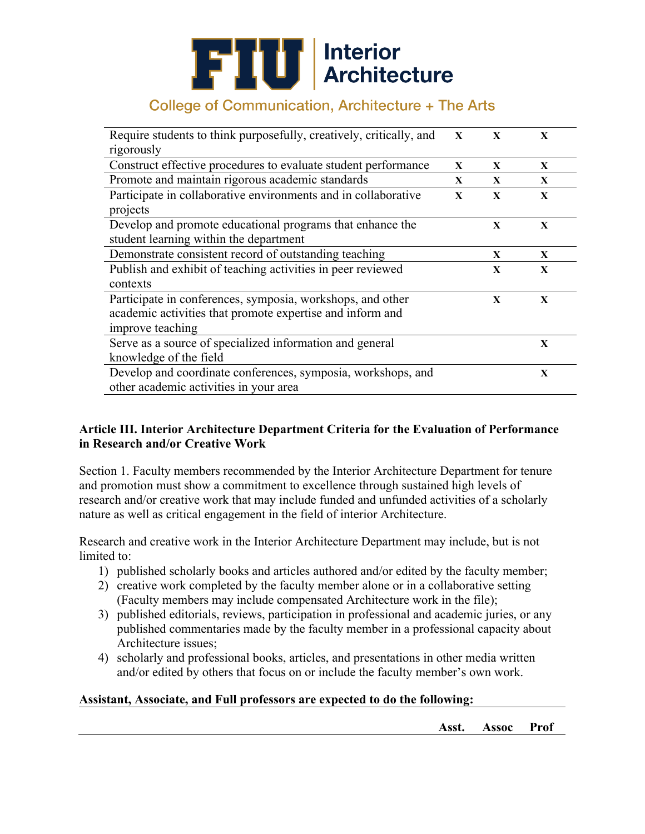# **FILI** Interior<br>Architecture

# College of Communication, Architecture + The Arts

| Require students to think purposefully, creatively, critically, and | $\mathbf{X}$ | $\mathbf{x}$ | X            |  |
|---------------------------------------------------------------------|--------------|--------------|--------------|--|
| rigorously                                                          |              |              |              |  |
| Construct effective procedures to evaluate student performance      | X            | X            | X            |  |
| Promote and maintain rigorous academic standards                    | X            | $\mathbf{X}$ | $\mathbf{X}$ |  |
| Participate in collaborative environments and in collaborative      | $\mathbf{X}$ | $\mathbf{X}$ | X            |  |
| projects                                                            |              |              |              |  |
| Develop and promote educational programs that enhance the           |              | X            | X            |  |
| student learning within the department                              |              |              |              |  |
| Demonstrate consistent record of outstanding teaching               |              | X            | X            |  |
| Publish and exhibit of teaching activities in peer reviewed         |              | X            | $\mathbf{X}$ |  |
| contexts                                                            |              |              |              |  |
| Participate in conferences, symposia, workshops, and other          |              | $\mathbf{x}$ | $\mathbf{x}$ |  |
| academic activities that promote expertise and inform and           |              |              |              |  |
| improve teaching                                                    |              |              |              |  |
| Serve as a source of specialized information and general            |              |              | $\mathbf{X}$ |  |
| knowledge of the field                                              |              |              |              |  |
| Develop and coordinate conferences, symposia, workshops, and        |              |              | X            |  |
| other academic activities in your area                              |              |              |              |  |

### **Article III. Interior Architecture Department Criteria for the Evaluation of Performance in Research and/or Creative Work**

Section 1. Faculty members recommended by the Interior Architecture Department for tenure and promotion must show a commitment to excellence through sustained high levels of research and/or creative work that may include funded and unfunded activities of a scholarly nature as well as critical engagement in the field of interior Architecture.

Research and creative work in the Interior Architecture Department may include, but is not limited to:

- 1) published scholarly books and articles authored and/or edited by the faculty member;
- 2) creative work completed by the faculty member alone or in a collaborative setting (Faculty members may include compensated Architecture work in the file);
- 3) published editorials, reviews, participation in professional and academic juries, or any published commentaries made by the faculty member in a professional capacity about Architecture issues;
- 4) scholarly and professional books, articles, and presentations in other media written and/or edited by others that focus on or include the faculty member's own work.

#### **Assistant, Associate, and Full professors are expected to do the following:**

**Asst. Assoc Prof**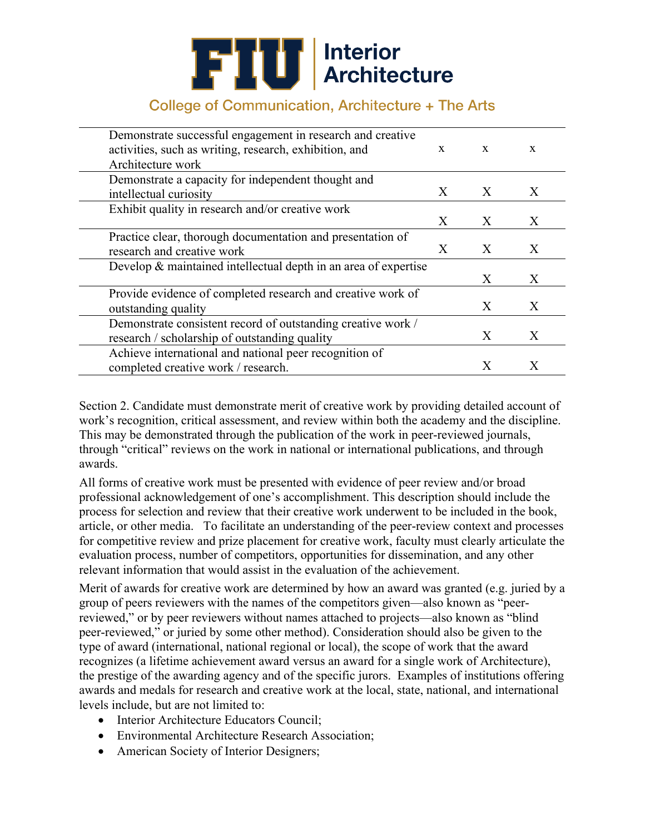# **FIU** Interior

## College of Communication, Architecture + The Arts

| Demonstrate successful engagement in research and creative      |   |   |   |
|-----------------------------------------------------------------|---|---|---|
| activities, such as writing, research, exhibition, and          | X | X | X |
| Architecture work                                               |   |   |   |
| Demonstrate a capacity for independent thought and              |   |   |   |
| intellectual curiosity                                          | X | X | X |
| Exhibit quality in research and/or creative work                |   |   |   |
|                                                                 | X | X | X |
| Practice clear, thorough documentation and presentation of      |   |   |   |
| research and creative work                                      | X | X | X |
| Develop & maintained intellectual depth in an area of expertise |   |   |   |
|                                                                 |   | X | X |
| Provide evidence of completed research and creative work of     |   |   |   |
| outstanding quality                                             |   | X | X |
| Demonstrate consistent record of outstanding creative work /    |   |   |   |
| research / scholarship of outstanding quality                   |   | X | X |
| Achieve international and national peer recognition of          |   |   |   |
| completed creative work / research.                             |   | X | X |

Section 2. Candidate must demonstrate merit of creative work by providing detailed account of work's recognition, critical assessment, and review within both the academy and the discipline. This may be demonstrated through the publication of the work in peer-reviewed journals, through "critical" reviews on the work in national or international publications, and through awards.

All forms of creative work must be presented with evidence of peer review and/or broad professional acknowledgement of one's accomplishment. This description should include the process for selection and review that their creative work underwent to be included in the book, article, or other media. To facilitate an understanding of the peer-review context and processes for competitive review and prize placement for creative work, faculty must clearly articulate the evaluation process, number of competitors, opportunities for dissemination, and any other relevant information that would assist in the evaluation of the achievement.

Merit of awards for creative work are determined by how an award was granted (e.g. juried by a group of peers reviewers with the names of the competitors given—also known as "peerreviewed," or by peer reviewers without names attached to projects—also known as "blind peer-reviewed," or juried by some other method). Consideration should also be given to the type of award (international, national regional or local), the scope of work that the award recognizes (a lifetime achievement award versus an award for a single work of Architecture), the prestige of the awarding agency and of the specific jurors. Examples of institutions offering awards and medals for research and creative work at the local, state, national, and international levels include, but are not limited to:

- Interior Architecture Educators Council;
- Environmental Architecture Research Association;
- American Society of Interior Designers;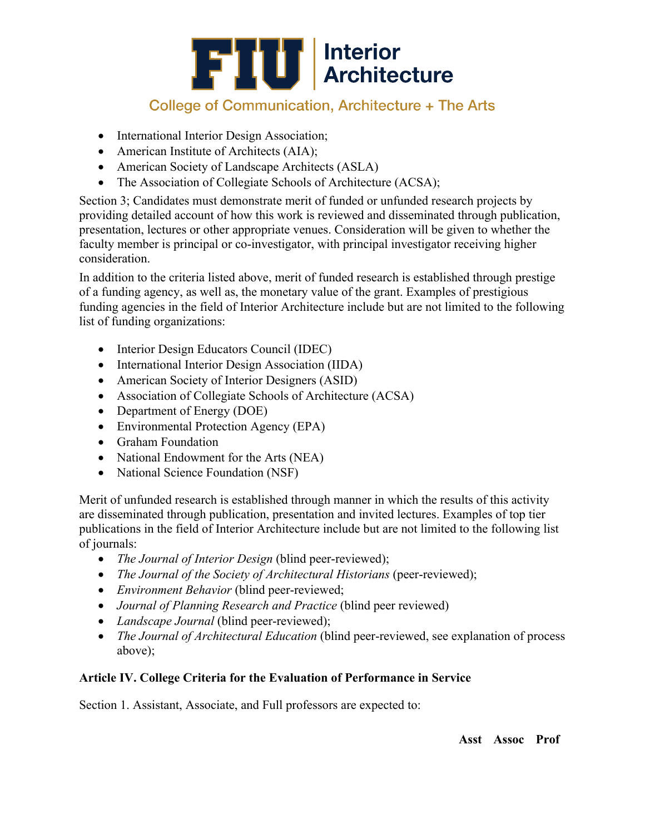

- International Interior Design Association;
- American Institute of Architects (AIA);
- American Society of Landscape Architects (ASLA)
- The Association of Collegiate Schools of Architecture (ACSA);

Section 3; Candidates must demonstrate merit of funded or unfunded research projects by providing detailed account of how this work is reviewed and disseminated through publication, presentation, lectures or other appropriate venues. Consideration will be given to whether the faculty member is principal or co-investigator, with principal investigator receiving higher consideration.

In addition to the criteria listed above, merit of funded research is established through prestige of a funding agency, as well as, the monetary value of the grant. Examples of prestigious funding agencies in the field of Interior Architecture include but are not limited to the following list of funding organizations:

- Interior Design Educators Council (IDEC)
- International Interior Design Association (IIDA)
- American Society of Interior Designers (ASID)
- Association of Collegiate Schools of Architecture (ACSA)
- Department of Energy (DOE)
- Environmental Protection Agency (EPA)
- Graham Foundation
- National Endowment for the Arts (NEA)
- National Science Foundation (NSF)

Merit of unfunded research is established through manner in which the results of this activity are disseminated through publication, presentation and invited lectures. Examples of top tier publications in the field of Interior Architecture include but are not limited to the following list of journals:

- *The Journal of Interior Design* (blind peer-reviewed);
- *The Journal of the Society of Architectural Historians (peer-reviewed);*
- *Environment Behavior* (blind peer-reviewed;
- *Journal of Planning Research and Practice* (blind peer reviewed)
- *Landscape Journal* (blind peer-reviewed);
- *The Journal of Architectural Education* (blind peer-reviewed, see explanation of process above);

## **Article IV. College Criteria for the Evaluation of Performance in Service**

Section 1. Assistant, Associate, and Full professors are expected to: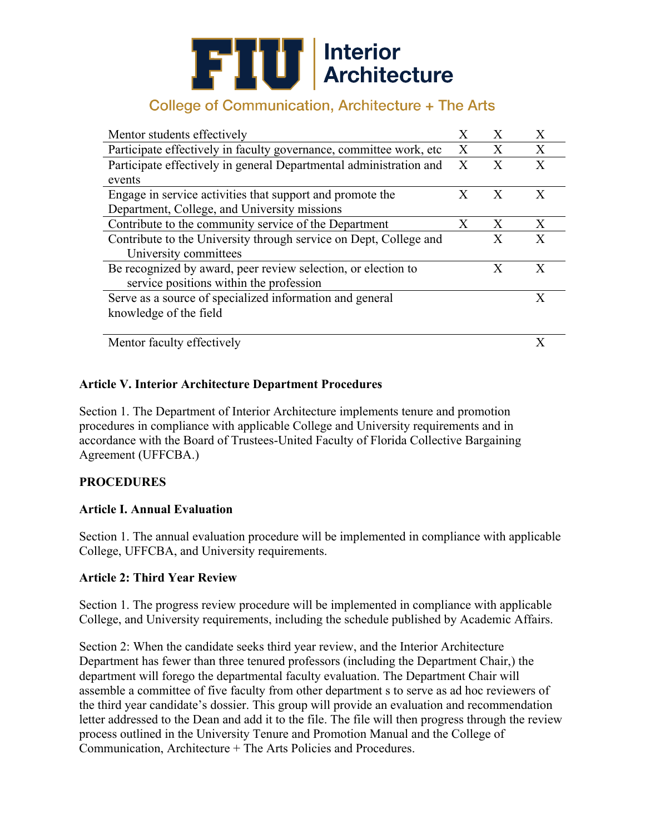# **FILI** Interior<br>Architecture

## College of Communication, Architecture + The Arts

| Mentor students effectively                                         |   | X            | Χ |
|---------------------------------------------------------------------|---|--------------|---|
| Participate effectively in faculty governance, committee work, etc. | X | $\mathbf{X}$ | X |
| Participate effectively in general Departmental administration and  | X | X            | X |
| events                                                              |   |              |   |
| Engage in service activities that support and promote the           | X | X            | X |
| Department, College, and University missions                        |   |              |   |
| Contribute to the community service of the Department               | X | Х            | X |
| Contribute to the University through service on Dept, College and   |   | X            | X |
| University committees                                               |   |              |   |
| Be recognized by award, peer review selection, or election to       |   | X            | X |
| service positions within the profession                             |   |              |   |
| Serve as a source of specialized information and general            |   |              | X |
| knowledge of the field                                              |   |              |   |
|                                                                     |   |              |   |
| Mentor faculty effectively                                          |   |              |   |

### **Article V. Interior Architecture Department Procedures**

Section 1. The Department of Interior Architecture implements tenure and promotion procedures in compliance with applicable College and University requirements and in accordance with the Board of Trustees-United Faculty of Florida Collective Bargaining Agreement (UFFCBA.)

#### **PROCEDURES**

#### **Article I. Annual Evaluation**

Section 1. The annual evaluation procedure will be implemented in compliance with applicable College, UFFCBA, and University requirements.

#### **Article 2: Third Year Review**

Section 1. The progress review procedure will be implemented in compliance with applicable College, and University requirements, including the schedule published by Academic Affairs.

Section 2: When the candidate seeks third year review, and the Interior Architecture Department has fewer than three tenured professors (including the Department Chair,) the department will forego the departmental faculty evaluation. The Department Chair will assemble a committee of five faculty from other department s to serve as ad hoc reviewers of the third year candidate's dossier. This group will provide an evaluation and recommendation letter addressed to the Dean and add it to the file. The file will then progress through the review process outlined in the University Tenure and Promotion Manual and the College of Communication, Architecture + The Arts Policies and Procedures.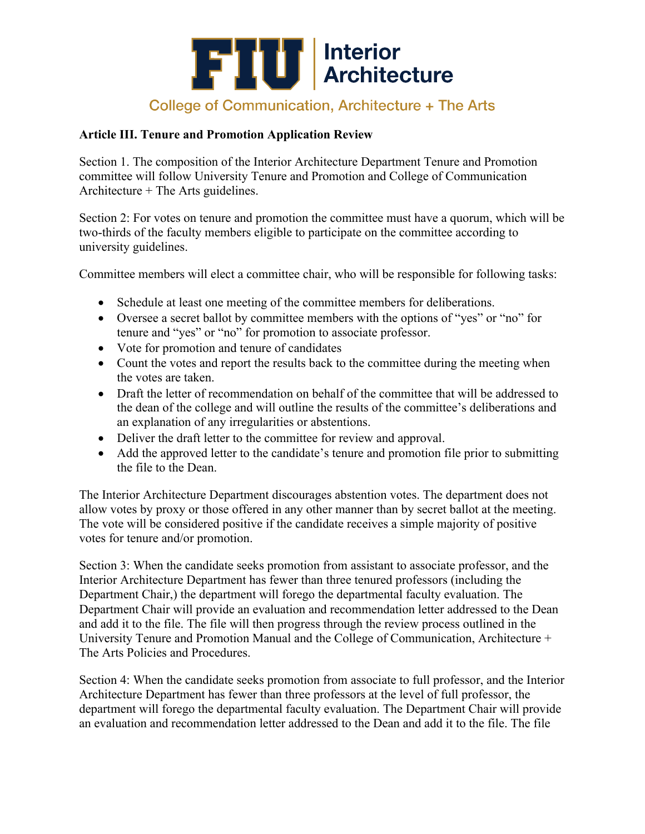

#### **Article III. Tenure and Promotion Application Review**

Section 1. The composition of the Interior Architecture Department Tenure and Promotion committee will follow University Tenure and Promotion and College of Communication Architecture + The Arts guidelines.

Section 2: For votes on tenure and promotion the committee must have a quorum, which will be two-thirds of the faculty members eligible to participate on the committee according to university guidelines.

Committee members will elect a committee chair, who will be responsible for following tasks:

- Schedule at least one meeting of the committee members for deliberations.
- Oversee a secret ballot by committee members with the options of "yes" or "no" for tenure and "yes" or "no" for promotion to associate professor.
- Vote for promotion and tenure of candidates
- Count the votes and report the results back to the committee during the meeting when the votes are taken.
- Draft the letter of recommendation on behalf of the committee that will be addressed to the dean of the college and will outline the results of the committee's deliberations and an explanation of any irregularities or abstentions.
- Deliver the draft letter to the committee for review and approval.
- Add the approved letter to the candidate's tenure and promotion file prior to submitting the file to the Dean.

The Interior Architecture Department discourages abstention votes. The department does not allow votes by proxy or those offered in any other manner than by secret ballot at the meeting. The vote will be considered positive if the candidate receives a simple majority of positive votes for tenure and/or promotion.

Section 3: When the candidate seeks promotion from assistant to associate professor, and the Interior Architecture Department has fewer than three tenured professors (including the Department Chair,) the department will forego the departmental faculty evaluation. The Department Chair will provide an evaluation and recommendation letter addressed to the Dean and add it to the file. The file will then progress through the review process outlined in the University Tenure and Promotion Manual and the College of Communication, Architecture + The Arts Policies and Procedures.

Section 4: When the candidate seeks promotion from associate to full professor, and the Interior Architecture Department has fewer than three professors at the level of full professor, the department will forego the departmental faculty evaluation. The Department Chair will provide an evaluation and recommendation letter addressed to the Dean and add it to the file. The file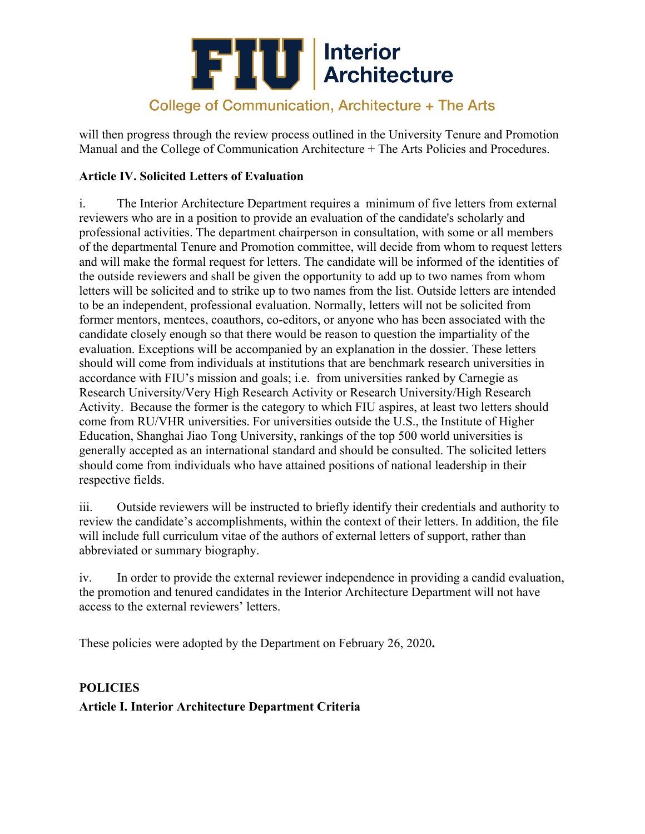

will then progress through the review process outlined in the University Tenure and Promotion Manual and the College of Communication Architecture + The Arts Policies and Procedures.

### **Article IV. Solicited Letters of Evaluation**

i. The Interior Architecture Department requires a minimum of five letters from external reviewers who are in a position to provide an evaluation of the candidate's scholarly and professional activities. The department chairperson in consultation, with some or all members of the departmental Tenure and Promotion committee, will decide from whom to request letters and will make the formal request for letters. The candidate will be informed of the identities of the outside reviewers and shall be given the opportunity to add up to two names from whom letters will be solicited and to strike up to two names from the list. Outside letters are intended to be an independent, professional evaluation. Normally, letters will not be solicited from former mentors, mentees, coauthors, co-editors, or anyone who has been associated with the candidate closely enough so that there would be reason to question the impartiality of the evaluation. Exceptions will be accompanied by an explanation in the dossier. These letters should will come from individuals at institutions that are benchmark research universities in accordance with FIU's mission and goals; i.e. from universities ranked by Carnegie as Research University/Very High Research Activity or Research University/High Research Activity. Because the former is the category to which FIU aspires, at least two letters should come from RU/VHR universities. For universities outside the U.S., the Institute of Higher Education, Shanghai Jiao Tong University, rankings of the top 500 world universities is generally accepted as an international standard and should be consulted. The solicited letters should come from individuals who have attained positions of national leadership in their respective fields.

iii. Outside reviewers will be instructed to briefly identify their credentials and authority to review the candidate's accomplishments, within the context of their letters. In addition, the file will include full curriculum vitae of the authors of external letters of support, rather than abbreviated or summary biography.

iv. In order to provide the external reviewer independence in providing a candid evaluation, the promotion and tenured candidates in the Interior Architecture Department will not have access to the external reviewers' letters.

These policies were adopted by the Department on February 26, 2020**.** 

# **POLICIES Article I. Interior Architecture Department Criteria**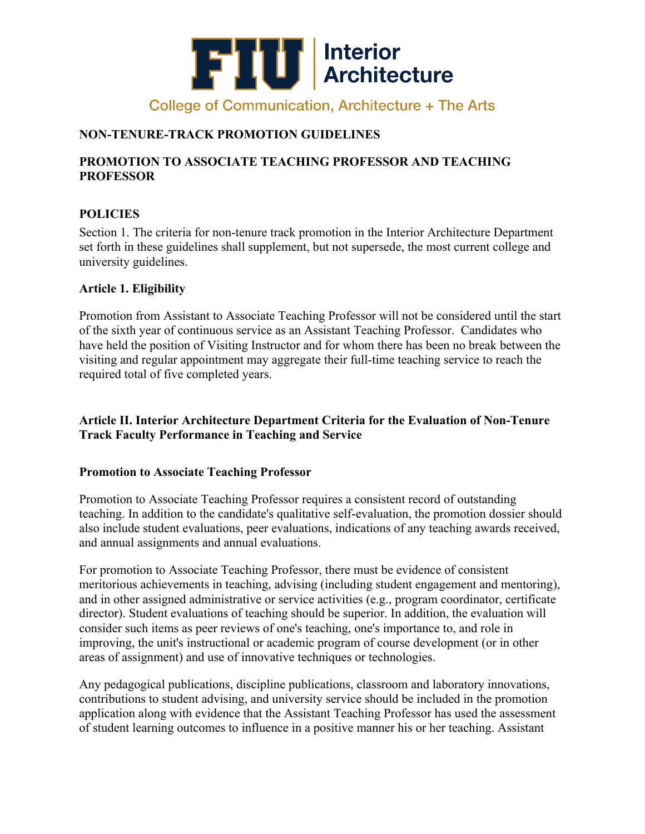

## **NON-TENURE-TRACK PROMOTION GUIDELINES**

### **PROMOTION TO ASSOCIATE TEACHING PROFESSOR AND TEACHING PROFESSOR**

### **POLICIES**

Section 1. The criteria for non-tenure track promotion in the Interior Architecture Department set forth in these guidelines shall supplement, but not supersede, the most current college and university guidelines.

#### **Article 1. Eligibility**

Promotion from Assistant to Associate Teaching Professor will not be considered until the start of the sixth year of continuous service as an Assistant Teaching Professor. Candidates who have held the position of Visiting Instructor and for whom there has been no break between the visiting and regular appointment may aggregate their full-time teaching service to reach the required total of five completed years.

### **Article II. Interior Architecture Department Criteria for the Evaluation of Non-Tenure Track Faculty Performance in Teaching and Service**

#### **Promotion to Associate Teaching Professor**

Promotion to Associate Teaching Professor requires a consistent record of outstanding teaching. In addition to the candidate's qualitative self-evaluation, the promotion dossier should also include student evaluations, peer evaluations, indications of any teaching awards received, and annual assignments and annual evaluations.

For promotion to Associate Teaching Professor, there must be evidence of consistent meritorious achievements in teaching, advising (including student engagement and mentoring), and in other assigned administrative or service activities (e.g., program coordinator, certificate director). Student evaluations of teaching should be superior. In addition, the evaluation will consider such items as peer reviews of one's teaching, one's importance to, and role in improving, the unit's instructional or academic program of course development (or in other areas of assignment) and use of innovative techniques or technologies.

Any pedagogical publications, discipline publications, classroom and laboratory innovations, contributions to student advising, and university service should be included in the promotion application along with evidence that the Assistant Teaching Professor has used the assessment of student learning outcomes to influence in a positive manner his or her teaching. Assistant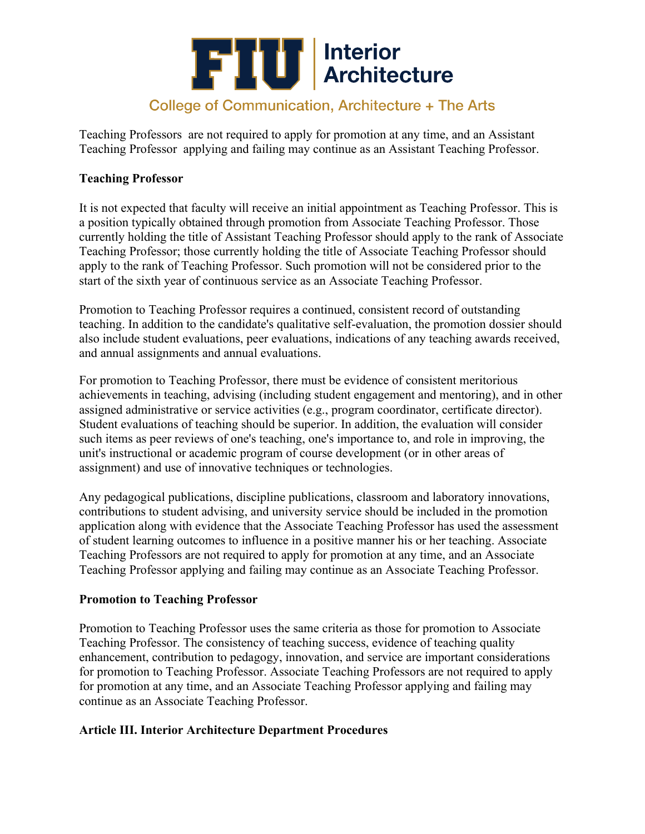

Teaching Professors are not required to apply for promotion at any time, and an Assistant Teaching Professor applying and failing may continue as an Assistant Teaching Professor.

#### **Teaching Professor**

It is not expected that faculty will receive an initial appointment as Teaching Professor. This is a position typically obtained through promotion from Associate Teaching Professor. Those currently holding the title of Assistant Teaching Professor should apply to the rank of Associate Teaching Professor; those currently holding the title of Associate Teaching Professor should apply to the rank of Teaching Professor. Such promotion will not be considered prior to the start of the sixth year of continuous service as an Associate Teaching Professor.

Promotion to Teaching Professor requires a continued, consistent record of outstanding teaching. In addition to the candidate's qualitative self-evaluation, the promotion dossier should also include student evaluations, peer evaluations, indications of any teaching awards received, and annual assignments and annual evaluations.

For promotion to Teaching Professor, there must be evidence of consistent meritorious achievements in teaching, advising (including student engagement and mentoring), and in other assigned administrative or service activities (e.g., program coordinator, certificate director). Student evaluations of teaching should be superior. In addition, the evaluation will consider such items as peer reviews of one's teaching, one's importance to, and role in improving, the unit's instructional or academic program of course development (or in other areas of assignment) and use of innovative techniques or technologies.

Any pedagogical publications, discipline publications, classroom and laboratory innovations, contributions to student advising, and university service should be included in the promotion application along with evidence that the Associate Teaching Professor has used the assessment of student learning outcomes to influence in a positive manner his or her teaching. Associate Teaching Professors are not required to apply for promotion at any time, and an Associate Teaching Professor applying and failing may continue as an Associate Teaching Professor.

#### **Promotion to Teaching Professor**

Promotion to Teaching Professor uses the same criteria as those for promotion to Associate Teaching Professor. The consistency of teaching success, evidence of teaching quality enhancement, contribution to pedagogy, innovation, and service are important considerations for promotion to Teaching Professor. Associate Teaching Professors are not required to apply for promotion at any time, and an Associate Teaching Professor applying and failing may continue as an Associate Teaching Professor.

#### **Article III. Interior Architecture Department Procedures**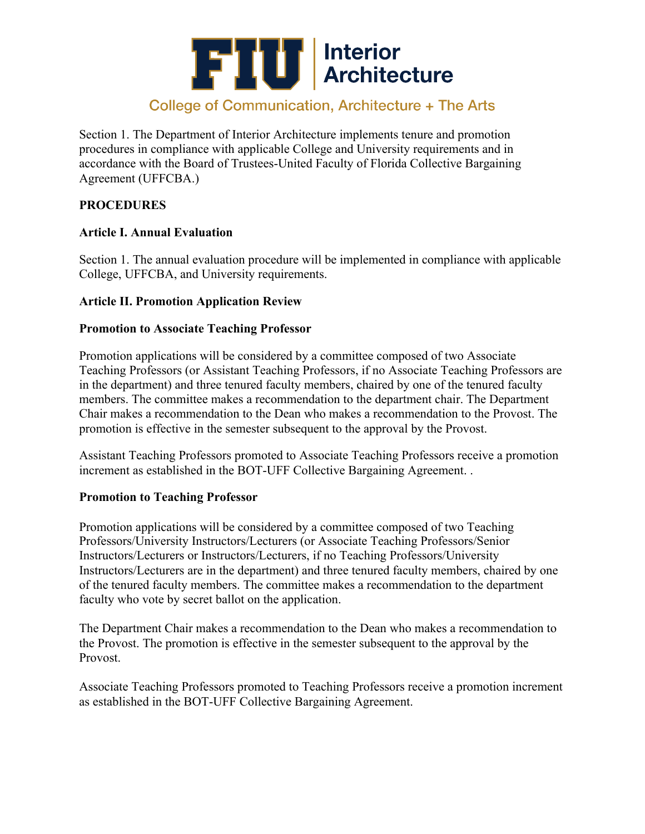

Section 1. The Department of Interior Architecture implements tenure and promotion procedures in compliance with applicable College and University requirements and in accordance with the Board of Trustees-United Faculty of Florida Collective Bargaining Agreement (UFFCBA.)

#### **PROCEDURES**

#### **Article I. Annual Evaluation**

Section 1. The annual evaluation procedure will be implemented in compliance with applicable College, UFFCBA, and University requirements.

#### **Article II. Promotion Application Review**

#### **Promotion to Associate Teaching Professor**

Promotion applications will be considered by a committee composed of two Associate Teaching Professors (or Assistant Teaching Professors, if no Associate Teaching Professors are in the department) and three tenured faculty members, chaired by one of the tenured faculty members. The committee makes a recommendation to the department chair. The Department Chair makes a recommendation to the Dean who makes a recommendation to the Provost. The promotion is effective in the semester subsequent to the approval by the Provost.

Assistant Teaching Professors promoted to Associate Teaching Professors receive a promotion increment as established in the BOT-UFF Collective Bargaining Agreement. .

#### **Promotion to Teaching Professor**

Promotion applications will be considered by a committee composed of two Teaching Professors/University Instructors/Lecturers (or Associate Teaching Professors/Senior Instructors/Lecturers or Instructors/Lecturers, if no Teaching Professors/University Instructors/Lecturers are in the department) and three tenured faculty members, chaired by one of the tenured faculty members. The committee makes a recommendation to the department faculty who vote by secret ballot on the application.

The Department Chair makes a recommendation to the Dean who makes a recommendation to the Provost. The promotion is effective in the semester subsequent to the approval by the Provost.

Associate Teaching Professors promoted to Teaching Professors receive a promotion increment as established in the BOT-UFF Collective Bargaining Agreement.